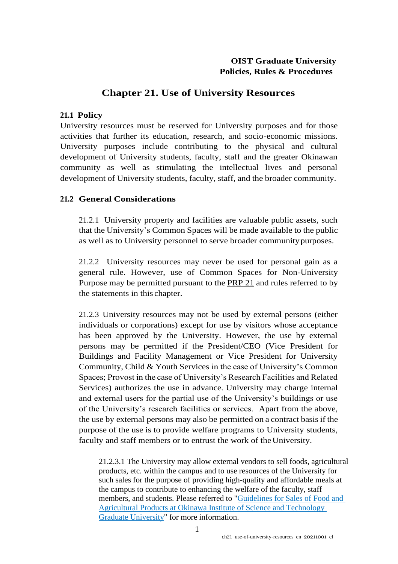## **OIST Graduate University Policies, Rules & Procedures**

# **Chapter 21. Use of University Resources**

### **21.1 Policy**

[University resources](https://www.oist.jp/policy-library/21.8.1) must be reserved for University purposes and for those activities that further its education, research, and socio-economic missions. University purposes include contributing to the physical and cultural development of University students, faculty, staff and the greater Okinawan community as well as stimulating the intellectual lives and personal development of University students, faculty, staff, and the broader community.

## **21.2 General Considerations**

21.2.1 University property and facilities are valuable public assets, such that the University's Common Spaces will be made available to the public as well as to University personnel to serve broader communitypurposes.

21.2.2 University resources may never be used for personal gain as a general rule. However, use of Common Spaces for Non-University Purpose may be permitted pursuant to the [PRP](https://www.oist.jp/policy-library/21) 21 and rules referred to by the statements in this chapter.

21.2.3 University resources may not be used by external persons (either individuals or corporations) except for use by visitors whose acceptance has been approved by the University. However, the use by external persons may be permitted if the President/CEO (Vice President for Buildings and Facility Management or Vice President for University Community, Child & Youth Services in the case of University's Common Spaces; Provost in the case of University's Research Facilities and Related Services) authorizes the use in advance. University may charge internal and external users for the partial use of the University's buildings or use of the University's research facilities or services. Apart from the above, the use by external persons may also be permitted on a contract basisif the purpose of the use is to provide welfare programs to University students, faculty and staff members or to entrust the work of the University.

21.2.3.1 The University may allow external vendors to sell foods, agricultural products, etc. within the campus and to use resources of the University for such sales for the purpose of providing high-quality and affordable meals at the campus to contribute to enhancing the welfare of the faculty, staff members, and students. Please referred to ["Guidelines for Sales of Food and](https://groups.oist.jp/system/files/Guideline%20for%20Sales%20of%20Food%2C%20Agricultural%20Products%2C%20etc.%2C%20at%20OIST.pdf)  [Agricultural Products at Okinawa Institute of Science and Technology](https://groups.oist.jp/system/files/Guideline%20for%20Sales%20of%20Food%2C%20Agricultural%20Products%2C%20etc.%2C%20at%20OIST.pdf)  [Graduate University"](https://groups.oist.jp/system/files/Guideline%20for%20Sales%20of%20Food%2C%20Agricultural%20Products%2C%20etc.%2C%20at%20OIST.pdf) for more information.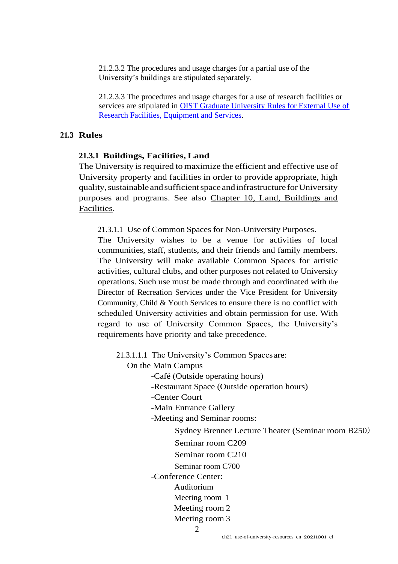21.2.3.2 The procedures and usage charges for a partial use of the University's buildings are stipulated separately.

21.2.3.3 The procedures and usage charges for a use of research facilities or services are stipulated in [OIST Graduate University Rules for External Use of](https://groups.oist.jp/external-use/rules-external-users-research-facilities-and-services)  [Research Facilities, Equipment and Services.](https://groups.oist.jp/external-use/rules-external-users-research-facilities-and-services)

#### **21.3 Rules**

#### **21.3.1 Buildings, Facilities, Land**

The University is required to maximize the efficient and effective use of University property and facilities in order to provide appropriate, high quality, sustainable and sufficient space and infrastructure for University purposes and programs. See also [Chapter 10, Land, Buildings and](https://www.oist.jp/policy-library/10) [Facilities.](https://www.oist.jp/policy-library/10)

21.3.1.1 Use of Common Spaces for Non-University Purposes.

The University wishes to be a venue for activities of local communities, staff, students, and their friends and family members. The University will make available Common Spaces for artistic activities, cultural clubs, and other purposes not related to University operations. Such use must be made through and coordinated with the Director of Recreation Services under the Vice President for University Community, Child & Youth Services to ensure there is no conflict with scheduled University activities and obtain permission for use. With regard to use of University Common Spaces, the University's requirements have priority and take precedence.

21.3.1.1.1 The University's Common Spacesare:

On the Main Campus

- -Café (Outside operating hours)
- -Restaurant Space (Outside operation hours)
- -Center Court
- -Main Entrance Gallery
- -Meeting and Seminar rooms:
	- Sydney Brenner Lecture Theater (Seminar room B250)
	- Seminar room C209
	- Seminar room C210
	- Seminar room C700

-Conference Center:

- Auditorium
- Meeting room 1
- Meeting room 2
- Meeting room 3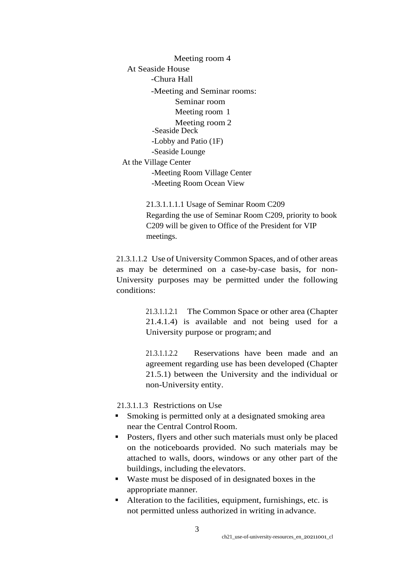Meeting room 4 At Seaside House -Chura Hall -Meeting and Seminar rooms: Seminar room Meeting room 1 Meeting room 2 -Seaside Deck -Lobby and Patio (1F) -Seaside Lounge At the Village Center -Meeting Room Village Center -Meeting Room Ocean View

> 21.3.1.1.1.1 Usage of Seminar Room C209 Regarding the use of Seminar Room C209, priority to book C209 will be given to Office of the President for VIP meetings.

21.3.1.1.2 Use of University Common Spaces, and of other areas as may be determined on a case-by-case basis, for non-University purposes may be permitted under the following conditions:

> 21.3.1.1.2.1 The Common Space or other area (Chapter 21.4.1.4) is available and not being used for a University purpose or program; and

> 21.3.1.1.2.2 Reservations have been made and an agreement regarding use has been developed (Chapter [21.5.1\)](https://www.oist.jp/policy-library/21.5.1) between the University and the individual or non-University entity.

21.3.1.1.3 Restrictions on Use

- Smoking is permitted only at a designated smoking area near the Central Control Room.
- Posters, flyers and other such materials must only be placed on the noticeboards provided. No such materials may be attached to walls, doors, windows or any other part of the buildings, including the elevators.
- Waste must be disposed of in designated boxes in the appropriate manner.
- Alteration to the facilities, equipment, furnishings, etc. is not permitted unless authorized in writing in advance.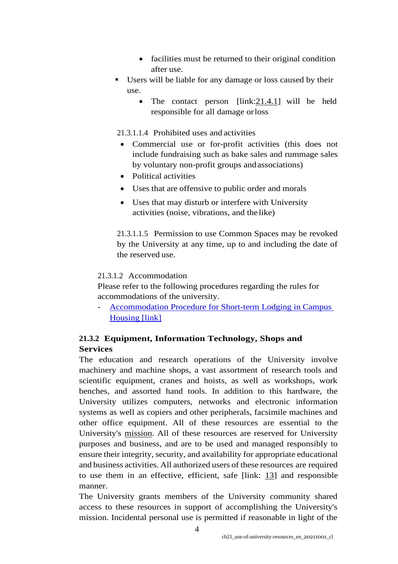- facilities must be returned to their original condition after use.
- Users will be liable for any damage or loss caused by their use.
	- The contact person  $[\text{link: } 21.4.1]$  will be held responsible for all damage orloss

21.3.1.1.4 Prohibited uses and activities

- Commercial use or for-profit activities (this does not include fundraising such as bake sales and rummage sales by voluntary non-profit groups andassociations)
- Political activities
- Uses that are offensive to public order and morals
- Uses that may disturb or interfere with University activities (noise, vibrations, and the like)

21.3.1.1.5 Permission to use Common Spaces may be revoked by the University at any time, up to and including the date of the reserved use.

### 21.3.1.2 Accommodation

Please refer to the following procedures regarding the rules for accommodations of the university.

- [Accommodation Procedure for Short-term Lodging in Campus](https://www.oist.jp/sites/default/files/img/prp/Accomodation_Procedure_for_Long_Stay_Lodging_on_Campus_Housing_2019%E5%B9%B47%E6%9C%8823%E6%97%A5%E6%94%B9%E8%A8%82_0.pdf)  [Housing \[link\]](https://www.oist.jp/sites/default/files/img/prp/Accomodation_Procedure_for_Long_Stay_Lodging_on_Campus_Housing_2019%E5%B9%B47%E6%9C%8823%E6%97%A5%E6%94%B9%E8%A8%82_0.pdf)

## **21.3.2 Equipment, Information Technology, Shops and Services**

The education and research operations of the University involve machinery and machine shops, a vast assortment of research tools and scientific equipment, cranes and hoists, as well as workshops, work benches, and assorted hand tools. In addition to this hardware, the University utilizes computers, networks and electronic information systems as well as copiers and other peripherals, facsimile machines and other office equipment. All of these resources are essential to the University's [mission.](https://www.oist.jp/policy-library/1.2) All of these resources are reserved for University purposes and business, and are to be used and managed responsibly to ensure their integrity, security, and availability for appropriate educational and business activities. All authorized users of these resources are required to use them in an effective, efficient, safe [link: [13\]](https://www.oist.jp/policy-library/13) and responsible manner.

The University grants members of the University community shared access to these resources in support of accomplishing the University's mission. Incidental personal use is permitted if reasonable in light of the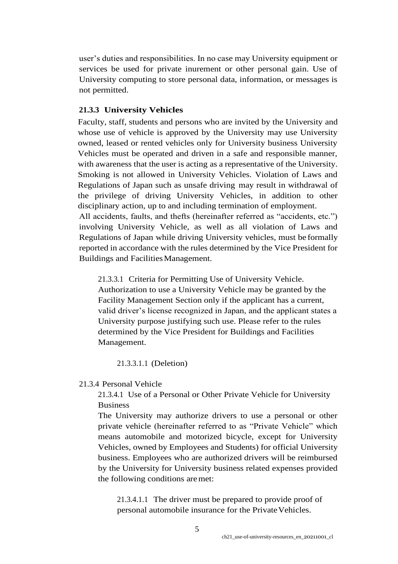user's duties and responsibilities. In no case may University equipment or services be used for private inurement or other personal gain. Use of University computing to store personal data, information, or messages is not permitted.

### **21.3.3 University Vehicles**

Faculty, staff, students and persons who are invited by the University and whose use of vehicle is approved by the University may use University owned, leased or rented vehicles only for University business University Vehicles must be operated and driven in a safe and responsible manner, with awareness that the user is acting as a representative of the University. Smoking is not allowed in University Vehicles. Violation of Laws and Regulations of Japan such as unsafe driving may result in withdrawal of the privilege of driving University Vehicles, in addition to other disciplinary action, up to and including termination of employment. All accidents, faults, and thefts (hereinafter referred as "accidents, etc.") involving University Vehicle, as well as all violation of Laws and Regulations of Japan while driving University vehicles, must be formally reported in accordance with the rules determined by the Vice President for

Buildings and FacilitiesManagement.

21.3.3.1 Criteria for Permitting Use of University Vehicle. Authorization to use a University Vehicle may be granted by the Facility Management Section only if the applicant has a current, valid driver's license recognized in Japan, and the applicant states a University purpose justifying such use. Please refer to the rules determined by the Vice President for Buildings and Facilities Management.

21.3.3.1.1 (Deletion)

### 21.3.4 Personal Vehicle

21.3.4.1 Use of a Personal or Other Private Vehicle for University Business

The University may authorize drivers to use a personal or other private vehicle (hereinafter referred to as "Private Vehicle" which means automobile and motorized bicycle, except for University Vehicles, owned by Employees and Students) for official University business. Employees who are authorized drivers will be reimbursed by the University for University business related expenses provided the following conditions aremet:

21.3.4.1.1 The driver must be prepared to provide proof of personal automobile insurance for the Private Vehicles.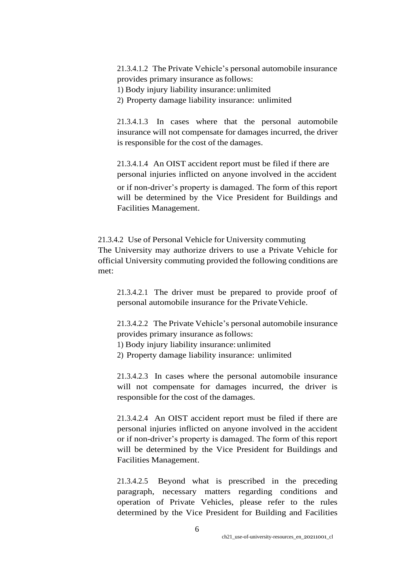21.3.4.1.2 The Private Vehicle's personal automobile insurance provides primary insurance asfollows:

1) Body injury liability insurance: unlimited

2) Property damage liability insurance: unlimited

21.3.4.1.3 In cases where that the personal automobile insurance will not compensate for damages incurred, the driver is responsible for the cost of the damages.

21.3.4.1.4 An OIST accident report must be filed if there are personal injuries inflicted on anyone involved in the accident

or if non-driver's property is damaged. The form of this report will be determined by the Vice President for Buildings and Facilities Management.

21.3.4.2 Use of Personal Vehicle for University commuting The University may authorize drivers to use a Private Vehicle for official University commuting provided the following conditions are met:

21.3.4.2.1 The driver must be prepared to provide proof of personal automobile insurance for the Private Vehicle.

21.3.4.2.2 The Private Vehicle's personal automobile insurance provides primary insurance asfollows:

- 1) Body injury liability insurance: unlimited
- 2) Property damage liability insurance: unlimited

21.3.4.2.3 In cases where the personal automobile insurance will not compensate for damages incurred, the driver is responsible for the cost of the damages.

21.3.4.2.4 An OIST accident report must be filed if there are personal injuries inflicted on anyone involved in the accident or if non-driver's property is damaged. The form of this report will be determined by the Vice President for Buildings and Facilities Management.

21.3.4.2.5 Beyond what is prescribed in the preceding paragraph, necessary matters regarding conditions and operation of Private Vehicles, please refer to the rules determined by the Vice President for Building and Facilities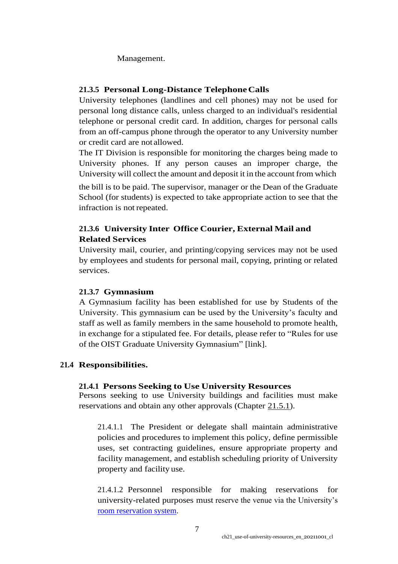Management.

## **21.3.5 Personal Long-Distance TelephoneCalls**

University telephones (landlines and cell phones) may not be used for personal long distance calls, unless charged to an individual's residential telephone or personal credit card. In addition, charges for personal calls from an off-campus phone through the operator to any University number or credit card are not allowed.

The IT Division is responsible for monitoring the charges being made to University phones. If any person causes an improper charge, the University will collect the amount and deposit it in the account from which

the bill is to be paid. The supervisor, manager or the Dean of the Graduate School (for students) is expected to take appropriate action to see that the infraction is not repeated.

## **21.3.6 University Inter Office Courier, External Mail and Related Services**

University mail, courier, and printing/copying services may not be used by employees and students for personal mail, copying, printing or related services.

### **21.3.7 Gymnasium**

A Gymnasium facility has been established for use by Students of the University. This gymnasium can be used by the University's faculty and staff as well as family members in the same household to promote health, in exchange for a stipulated fee. For details, please refer to "Rules for use of the OIST Graduate University Gymnasium" [link].

## **21.4 Responsibilities.**

### **21.4.1 Persons Seeking to Use University Resources**

Persons seeking to use University buildings and facilities must make reservations and obtain any other approvals (Chapter [21.5.1\)](https://www.oist.jp/policy-library/21.5.1).

21.4.1.1 The President or delegate shall maintain administrative policies and procedures to implement this policy, define permissible uses, set contracting guidelines, ensure appropriate property and facility management, and establish scheduling priority of University property and facility use.

21.4.1.2 Personnel responsible for making reservations for university-related purposes must reserve the venue via the University's [room reservation system.](https://oist.service-now.com/sp?id=kb_article_view&sysparm_article=KB0011742&sys_kb_id=efdfe8b41b74541042f1ece9bc4bcb48)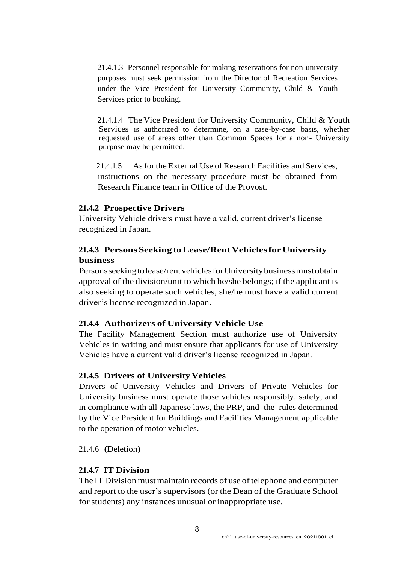21.4.1.3 Personnel responsible for making reservations for non-university purposes must seek permission from the Director of Recreation Services under the Vice President for University Community, Child & Youth Services prior to booking.

21.4.1.4 The Vice President for University Community, Child & Youth Services is authorized to determine, on a case-by-case basis, whether requested use of areas other than Common Spaces for a non- University purpose may be permitted.

21.4.1.5 As for the External Use of Research Facilities and Services, instructions on the necessary procedure must be obtained from Research Finance team in Office of the Provost.

### **21.4.2 Prospective Drivers**

University Vehicle drivers must have a valid, current driver's license recognized in Japan.

### **21.4.3 PersonsSeeking toLease/RentVehiclesforUniversity business**

Personsseekingtolease/rentvehiclesforUniversitybusinessmustobtain approval of the division/unit to which he/she belongs; if the applicant is also seeking to operate such vehicles, she/he must have a valid current driver's license recognized in Japan.

### **21.4.4 Authorizers of University Vehicle Use**

The Facility Management Section must authorize use of University Vehicles in writing and must ensure that applicants for use of University Vehicles have a current valid driver's license recognized in Japan.

#### **21.4.5 Drivers of University Vehicles**

Drivers of University Vehicles and Drivers of Private Vehicles for University business must operate those vehicles responsibly, safely, and in compliance with all Japanese laws, the PRP, and the rules determined by the Vice President for Buildings and Facilities Management applicable to the operation of motor vehicles.

21.4.6 **(**Deletion)

#### **21.4.7 IT Division**

The IT Division must maintain records of use of telephone and computer and report to the user's supervisors (or the Dean of the Graduate School for students) any instances unusual or inappropriate use.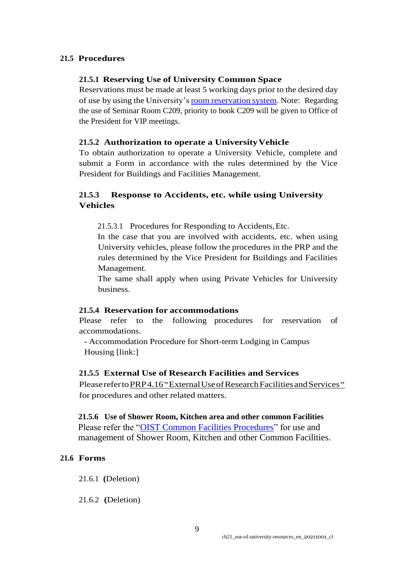### **21.5 Procedures**

### **21.5.1 Reserving Use of University Common Space**

Reservations must be made at least 5 working days prior to the desired day of use by using the University'sroom [reservation](https://oist.service-now.com/sp?id=kb_article_view&sysparm_article=KB0011742&sys_kb_id=efdfe8b41b74541042f1ece9bc4bcb48) system. Note: Regarding the use of Seminar Room C209, priority to book C209 will be given to Office of the President for VIP meetings.

### **21.5.2 Authorization to operate a UniversityVehicle**

To obtain authorization to operate a University Vehicle, complete and submit a Form in accordance with the rules determined by the Vice President for Buildings and Facilities Management.

## **21.5.3 Response to Accidents, etc. while using University Vehicles**

21.5.3.1 Procedures for Responding to Accidents,Etc.

In the case that you are involved with accidents, etc. when using University vehicles, please follow the procedures in the PRP and the rules determined by the Vice President for Buildings and Facilities Management.

The same shall apply when using Private Vehicles for University business.

### **21.5.4 Reservation for accommodations**

Please refer to the following procedures for reservation of accommodations.

- Accommodation Procedure for Short-term Lodging in Campus Housing [link:]

### **21.5.5 External Use of Research Facilities and Services**

PleaserefertoPRP4.16["](https://www.oist.jp/policy-library/4.16)ExternalUse of Research Facilities and Services" for procedures and other related matters.

 **21.5.6 Use of Shower Room, Kitchen area and other common Facilities** Please refer the ["OIST Common Facilities Procedures"](https://groups.oist.jp/sites/default/files/imce/u463/OIST%2BCommon%2BFacilities%2BUse%2BProcedures%2BOIST%2B%E5%85%B1%E7%94%A8%E6%96%BD%E8%A8%AD%E5%88%A9%E7%94%A8%E6%89%8B%E9%A0%86%E6%9B%B8_20201020_4.pdf) for use and management of Shower Room, Kitchen and other Common Facilities.

### **21.6 Forms**

21.6.1 **(**Deletion)

21.6.2 **(**Deletion)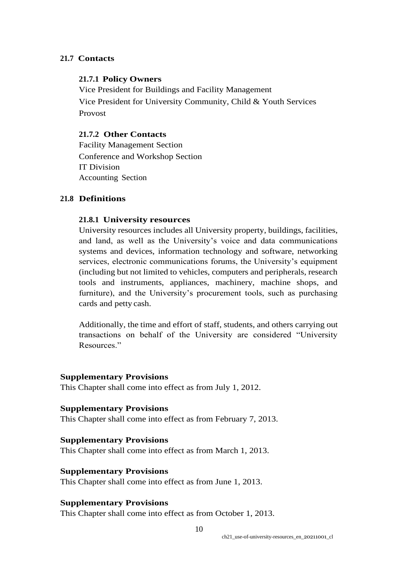### **21.7 Contacts**

### **21.7.1 Policy Owners**

Vice President for Buildings and Facility Management Vice President for University Community, Child & Youth Services Provost

### **21.7.2 Other Contacts**

Facility Management Section Conference and Workshop Section IT Division Accounting Section

### **21.8 Definitions**

### **21.8.1 University resources**

University resources includes all University property, buildings, facilities, and land, as well as the University's voice and data communications systems and devices, information technology and software, networking services, electronic communications forums, the University's equipment (including but not limited to vehicles, computers and peripherals, research tools and instruments, appliances, machinery, machine shops, and furniture), and the University's procurement tools, such as purchasing cards and petty cash.

Additionally, the time and effort of staff, students, and others carrying out transactions on behalf of the University are considered "University Resources."

#### **Supplementary Provisions**

This Chapter shall come into effect as from July 1, 2012.

### **Supplementary Provisions**

This Chapter shall come into effect as from February 7, 2013.

#### **Supplementary Provisions**

This Chapter shall come into effect as from March 1, 2013.

### **Supplementary Provisions**

This Chapter shall come into effect as from June 1, 2013.

### **Supplementary Provisions**

This Chapter shall come into effect as from October 1, 2013.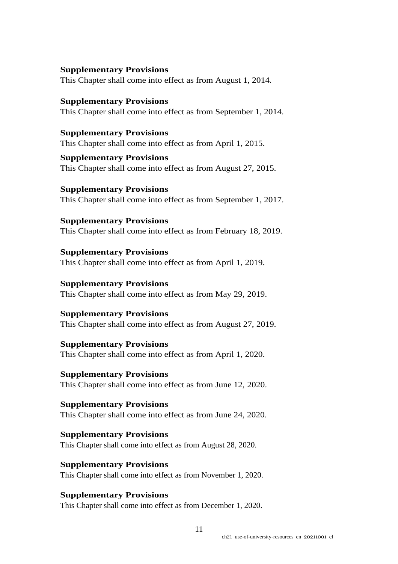### **Supplementary Provisions**

This Chapter shall come into effect as from August 1, 2014.

**Supplementary Provisions** This Chapter shall come into effect as from September 1, 2014.

**Supplementary Provisions** This Chapter shall come into effect as from April 1, 2015.

**Supplementary Provisions** This Chapter shall come into effect as from August 27, 2015.

**Supplementary Provisions** This Chapter shall come into effect as from September 1, 2017.

**Supplementary Provisions** This Chapter shall come into effect as from February 18, 2019.

**Supplementary Provisions** This Chapter shall come into effect as from April 1, 2019.

**Supplementary Provisions** This Chapter shall come into effect as from May 29, 2019.

### **Supplementary Provisions**

This Chapter shall come into effect as from August 27, 2019.

**Supplementary Provisions** This Chapter shall come into effect as from April 1, 2020.

**Supplementary Provisions** This Chapter shall come into effect as from June 12, 2020.

**Supplementary Provisions** This Chapter shall come into effect as from June 24, 2020.

**Supplementary Provisions** This Chapter shall come into effect as from August 28, 2020.

**Supplementary Provisions** This Chapter shall come into effect as from November 1, 2020.

**Supplementary Provisions** This Chapter shall come into effect as from December 1, 2020.